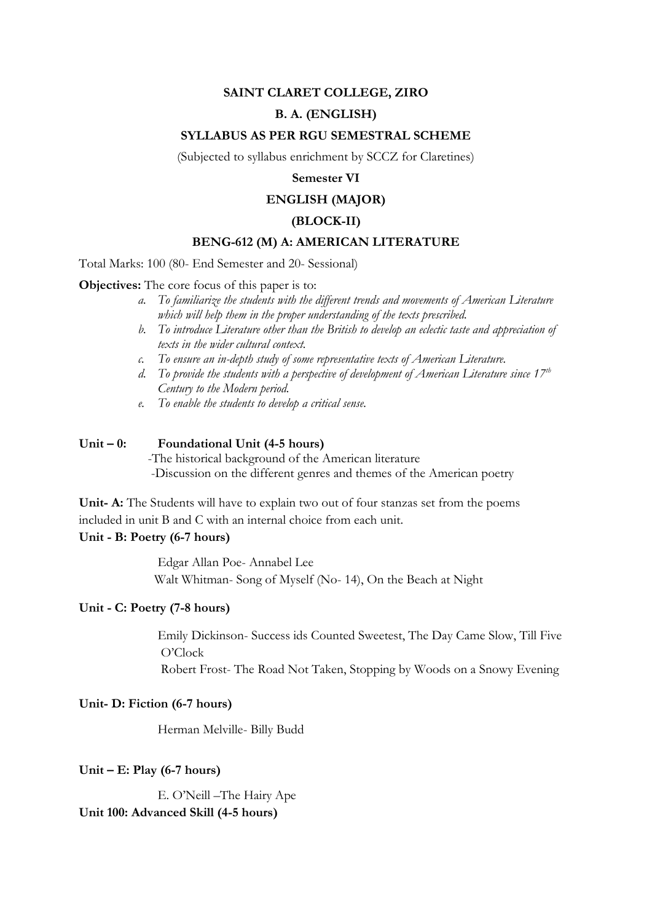## **SAINT CLARET COLLEGE, ZIRO**

## **B. A. (ENGLISH)**

### **SYLLABUS AS PER RGU SEMESTRAL SCHEME**

(Subjected to syllabus enrichment by SCCZ for Claretines)

## **Semester VI**

# **ENGLISH (MAJOR)**

### **(BLOCK-II)**

### **BENG-612 (M) A: AMERICAN LITERATURE**

Total Marks: 100 (80- End Semester and 20- Sessional)

**Objectives:** The core focus of this paper is to:

- *a. To familiarize the students with the different trends and movements of American Literature which will help them in the proper understanding of the texts prescribed.*
- *b. To introduce Literature other than the British to develop an eclectic taste and appreciation of texts in the wider cultural context.*
- *c. To ensure an in-depth study of some representative texts of American Literature.*
- *d. To provide the students with a perspective of development of American Literature since 17th Century to the Modern period.*
- *e. To enable the students to develop a critical sense.*

### **Unit – 0: Foundational Unit (4-5 hours)**

 -The historical background of the American literature -Discussion on the different genres and themes of the American poetry

**Unit- A:** The Students will have to explain two out of four stanzas set from the poems included in unit B and C with an internal choice from each unit.

## **Unit - B: Poetry (6-7 hours)**

Edgar Allan Poe- Annabel Lee Walt Whitman- Song of Myself (No- 14), On the Beach at Night

### **Unit - C: Poetry (7-8 hours)**

Emily Dickinson- Success ids Counted Sweetest, The Day Came Slow, Till Five O'Clock

Robert Frost- The Road Not Taken, Stopping by Woods on a Snowy Evening

### **Unit- D: Fiction (6-7 hours)**

Herman Melville- Billy Budd

#### **Unit – E: Play (6-7 hours)**

E. O'Neill –The Hairy Ape **Unit 100: Advanced Skill (4-5 hours)**